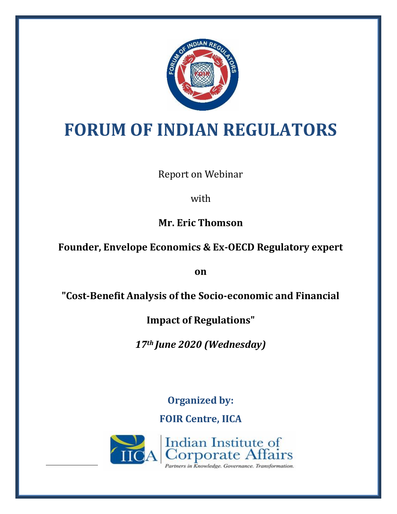

# **FORUM OF INDIAN REGULATORS**

Report on Webinar

with

**Mr. Eric Thomson**

**Founder, Envelope Economics & Ex-OECD Regulatory expert** 

**on** 

**"Cost-Benefit Analysis of the Socio-economic and Financial** 

**Impact of Regulations"**

*17th June 2020 (Wednesday)*

**Organized by: FOIR Centre, IICA**

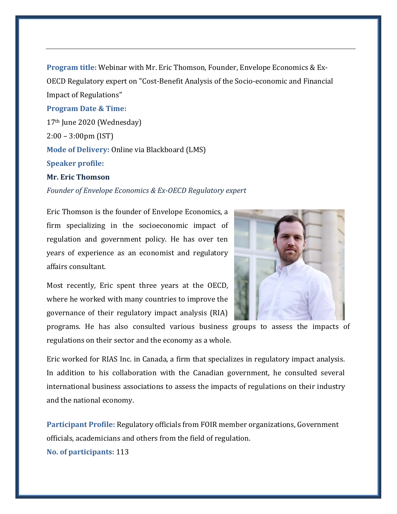**Program title:** Webinar with Mr. Eric Thomson, Founder, Envelope Economics & Ex-OECD Regulatory expert on "Cost-Benefit Analysis of the Socio-economic and Financial Impact of Regulations"

## **Program Date & Time:**

17th June 2020 (Wednesday) 2:00 – 3:00pm (IST) **Mode of Delivery:** Online via Blackboard (LMS) **Speaker profile: Mr. Eric Thomson**

### *Founder of Envelope Economics & Ex-OECD Regulatory expert*

Eric Thomson is the founder of Envelope Economics, a firm specializing in the socioeconomic impact of regulation and government policy. He has over ten years of experience as an economist and regulatory affairs consultant.



Most recently, Eric spent three years at the OECD, where he worked with many countries to improve the governance of their regulatory impact analysis (RIA)

programs. He has also consulted various business groups to assess the impacts of regulations on their sector and the economy as a whole.

Eric worked for RIAS Inc. in Canada, a firm that specializes in regulatory impact analysis. In addition to his collaboration with the Canadian government, he consulted several international business associations to assess the impacts of regulations on their industry and the national economy.

**Participant Profile:** Regulatory officials from FOIR member organizations, Government officials, academicians and others from the field of regulation.

**No. of participants:** 113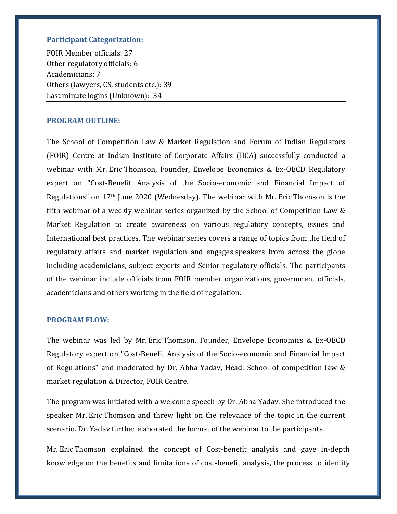# **Participant Categorization:**

FOIR Member officials: 27 Other regulatory officials: 6 Academicians: 7 Others (lawyers, CS, students etc.): 39 Last minute logins (Unknown): 34

## **PROGRAM OUTLINE:**

The School of Competition Law & Market Regulation and Forum of Indian Regulators (FOIR) Centre at Indian Institute of Corporate Affairs (IICA) successfully conducted a webinar with Mr. Eric Thomson, Founder, Envelope Economics & Ex-OECD Regulatory expert on "Cost-Benefit Analysis of the Socio-economic and Financial Impact of Regulations" on 17th June 2020 (Wednesday). The webinar with Mr. Eric Thomson is the fifth webinar of a weekly webinar series organized by the School of Competition Law & Market Regulation to create awareness on various regulatory concepts, issues and International best practices. The webinar series covers a range of topics from the field of regulatory affairs and market regulation and engages speakers from across the globe including academicians, subject experts and Senior regulatory officials. The participants of the webinar include officials from FOIR member organizations, government officials, academicians and others working in the field of regulation.

#### **PROGRAM FLOW:**

The webinar was led by Mr. Eric Thomson, Founder, Envelope Economics & Ex-OECD Regulatory expert on "Cost-Benefit Analysis of the Socio-economic and Financial Impact of Regulations" and moderated by Dr. Abha Yadav, Head, School of competition law & market regulation & Director, FOIR Centre.

The program was initiated with a welcome speech by Dr. Abha Yadav. She introduced the speaker Mr. Eric Thomson and threw light on the relevance of the topic in the current scenario. Dr. Yadav further elaborated the format of the webinar to the participants.

Mr. Eric Thomson explained the concept of Cost-benefit analysis and gave in-depth knowledge on the benefits and limitations of cost-benefit analysis, the process to identify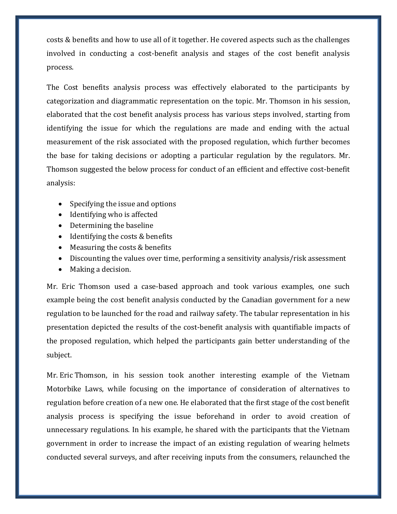costs & benefits and how to use all of it together. He covered aspects such as the challenges involved in conducting a cost-benefit analysis and stages of the cost benefit analysis process.

The Cost benefits analysis process was effectively elaborated to the participants by categorization and diagrammatic representation on the topic. Mr. Thomson in his session, elaborated that the cost benefit analysis process has various steps involved, starting from identifying the issue for which the regulations are made and ending with the actual measurement of the risk associated with the proposed regulation, which further becomes the base for taking decisions or adopting a particular regulation by the regulators. Mr. Thomson suggested the below process for conduct of an efficient and effective cost-benefit analysis:

- Specifying the issue and options
- Identifying who is affected
- Determining the baseline
- Identifying the costs & benefits
- Measuring the costs & benefits
- Discounting the values over time, performing a sensitivity analysis/risk assessment
- Making a decision.

Mr. Eric Thomson used a case-based approach and took various examples, one such example being the cost benefit analysis conducted by the Canadian government for a new regulation to be launched for the road and railway safety. The tabular representation in his presentation depicted the results of the cost-benefit analysis with quantifiable impacts of the proposed regulation, which helped the participants gain better understanding of the subject.

Mr. Eric Thomson, in his session took another interesting example of the Vietnam Motorbike Laws, while focusing on the importance of consideration of alternatives to regulation before creation of a new one. He elaborated that the first stage of the cost benefit analysis process is specifying the issue beforehand in order to avoid creation of unnecessary regulations. In his example, he shared with the participants that the Vietnam government in order to increase the impact of an existing regulation of wearing helmets conducted several surveys, and after receiving inputs from the consumers, relaunched the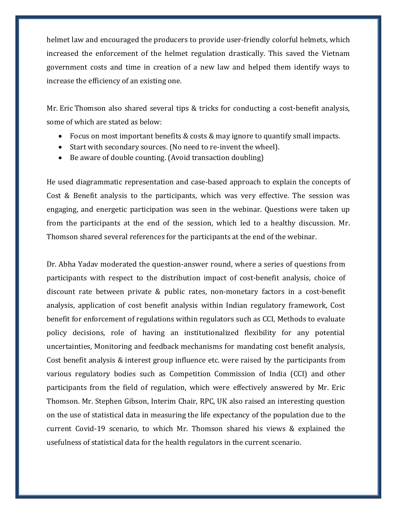helmet law and encouraged the producers to provide user-friendly colorful helmets, which increased the enforcement of the helmet regulation drastically. This saved the Vietnam government costs and time in creation of a new law and helped them identify ways to increase the efficiency of an existing one.

Mr. Eric Thomson also shared several tips & tricks for conducting a cost-benefit analysis, some of which are stated as below:

- Focus on most important benefits & costs & may ignore to quantify small impacts.
- Start with secondary sources. (No need to re-invent the wheel).
- Be aware of double counting. (Avoid transaction doubling)

He used diagrammatic representation and case-based approach to explain the concepts of Cost & Benefit analysis to the participants, which was very effective. The session was engaging, and energetic participation was seen in the webinar. Questions were taken up from the participants at the end of the session, which led to a healthy discussion. Mr. Thomson shared several references for the participants at the end of the webinar.

Dr. Abha Yadav moderated the question-answer round, where a series of questions from participants with respect to the distribution impact of cost-benefit analysis, choice of discount rate between private & public rates, non-monetary factors in a cost-benefit analysis, application of cost benefit analysis within Indian regulatory framework, Cost benefit for enforcement of regulations within regulators such as CCI, Methods to evaluate policy decisions, role of having an institutionalized flexibility for any potential uncertainties, Monitoring and feedback mechanisms for mandating cost benefit analysis, Cost benefit analysis & interest group influence etc. were raised by the participants from various regulatory bodies such as Competition Commission of India (CCI) and other participants from the field of regulation, which were effectively answered by Mr. Eric Thomson. Mr. Stephen Gibson, Interim Chair, RPC, UK also raised an interesting question on the use of statistical data in measuring the life expectancy of the population due to the current Covid-19 scenario, to which Mr. Thomson shared his views & explained the usefulness of statistical data for the health regulators in the current scenario.